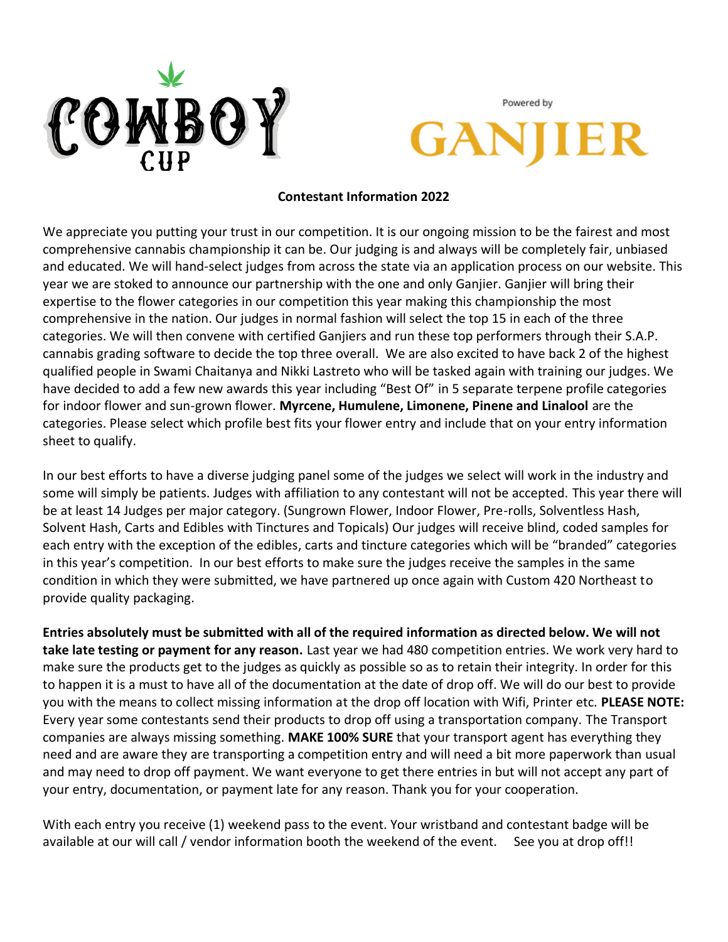

Powered by

#### **Contestant Information 2022**

We appreciate you putting your trust in our competition. It is our ongoing mission to be the fairest and most comprehensive cannabis championship it can be. Our judging is and always will be completely fair, unbiased and educated. We will hand-select judges from across the state via an application process on our website. This year we are stoked to announce our partnership with the one and only Ganjier. Ganjier will bring their expertise to the flower categories in our competition this year making this championship the most comprehensive in the nation. Our judges in normal fashion will select the top 15 in each of the three categories. We will then convene with certified Ganjiers and run these top performers through their S.A.P. cannabis grading software to decide the top three overall. We are also excited to have back 2 of the highest qualified people in Swami Chaitanya and Nikki Lastreto who will be tasked again with training our judges. We have decided to add a few new awards this year including "Best Of" in 5 separate terpene profile categories for indoor flower and sun-grown flower. **Myrcene, Humulene, Limonene, Pinene and Linalool** are the categories. Please select which profile best fits your flower entry and include that on your entry information sheet to qualify.

In our best efforts to have a diverse judging panel some of the judges we select will work in the industry and some will simply be patients. Judges with affiliation to any contestant will not be accepted. This year there will be at least 14 Judges per major category. (Sungrown Flower, Indoor Flower, Pre-rolls, Solventless Hash, Solvent Hash, Carts and Edibles with Tinctures and Topicals) Our judges will receive blind, coded samples for each entry with the exception of the edibles, carts and tincture categories which will be "branded" categories in this year's competition. In our best efforts to make sure the judges receive the samples in the same condition in which they were submitted, we have partnered up once again with Custom 420 Northeast to provide quality packaging.

**Entries absolutely must be submitted with all of the required information as directed below. We will not take late testing or payment for any reason.** Last year we had 480 competition entries. We work very hard to make sure the products get to the judges as quickly as possible so as to retain their integrity. In order for this to happen it is a must to have all of the documentation at the date of drop off. We will do our best to provide you with the means to collect missing information at the drop off location with Wifi, Printer etc. **PLEASE NOTE:**  Every year some contestants send their products to drop off using a transportation company. The Transport companies are always missing something. **MAKE 100% SURE** that your transport agent has everything they need and are aware they are transporting a competition entry and will need a bit more paperwork than usual and may need to drop off payment. We want everyone to get there entries in but will not accept any part of your entry, documentation, or payment late for any reason. Thank you for your cooperation.

With each entry you receive (1) weekend pass to the event. Your wristband and contestant badge will be available at our will call / vendor information booth the weekend of the event. See you at drop off!!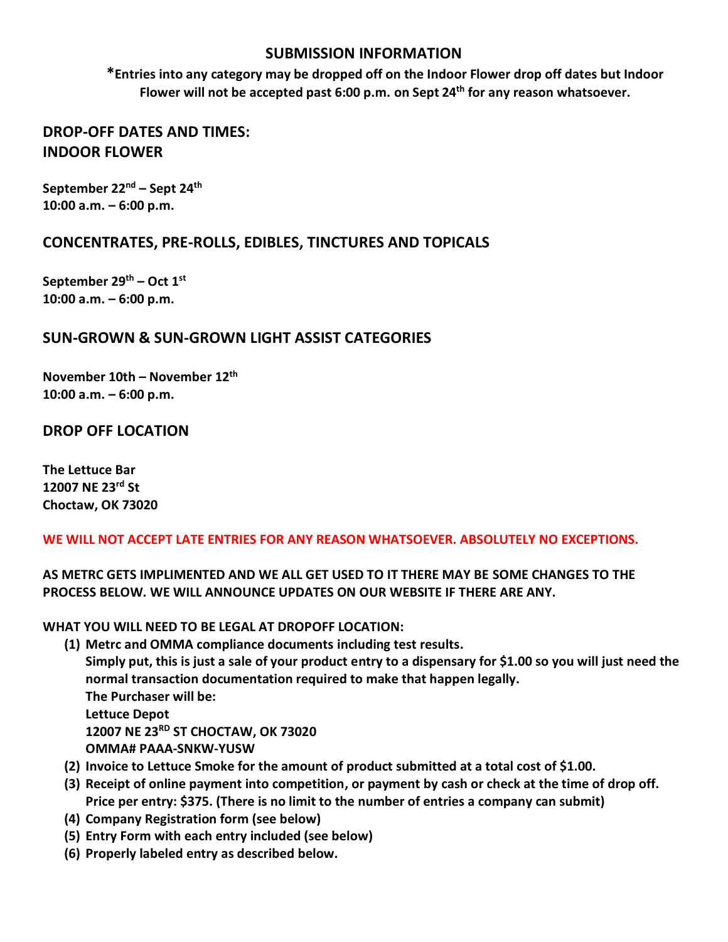#### **SUBMISSION INFORMATION**

**\*Entries into any category may be dropped off on the Indoor Flower drop off dates but Indoor Flower will not be accepted past 6:00 p.m. on Sept 24th for any reason whatsoever.**

#### **DROP-OFF DATES AND TIMES: INDOOR FLOWER**

**September 22nd – Sept 24th 10:00 a.m. – 6:00 p.m.**

### **CONCENTRATES, PRE-ROLLS, EDIBLES, TINCTURES AND TOPICALS**

**September 29th – Oct 1st 10:00 a.m. – 6:00 p.m.**

### **SUN-GROWN & SUN-GROWN LIGHT ASSIST CATEGORIES**

**November 10th – November 12th 10:00 a.m. – 6:00 p.m.**

**DROP OFF LOCATION**

**The Lettuce Bar 12007 NE 23rd St Choctaw, OK 73020**

#### **WE WILL NOT ACCEPT LATE ENTRIES FOR ANY REASON WHATSOEVER. ABSOLUTELY NO EXCEPTIONS.**

**AS METRC GETS IMPLIMENTED AND WE ALL GET USED TO IT THERE MAY BE SOME CHANGES TO THE PROCESS BELOW. WE WILL ANNOUNCE UPDATES ON OUR WEBSITE IF THERE ARE ANY.**

**WHAT YOU WILL NEED TO BE LEGAL AT DROPOFF LOCATION:**

- **(1) Metrc and OMMA compliance documents including test results. Simply put, this is just a sale of your product entry to a dispensary for \$1.00 so you will just need the normal transaction documentation required to make that happen legally. The Purchaser will be: Lettuce Depot 12007 NE 23RD ST CHOCTAW, OK 73020 OMMA# PAAA-SNKW-YUSW**
- **(2) Invoice to Lettuce Smoke for the amount of product submitted at a total cost of \$1.00.**
- **(3) Receipt of online payment into competition, or payment by cash or check at the time of drop off. Price per entry: \$375. (There is no limit to the number of entries a company can submit)**
- **(4) Company Registration form (see below)**
- **(5) Entry Form with each entry included (see below)**
- **(6) Properly labeled entry as described below.**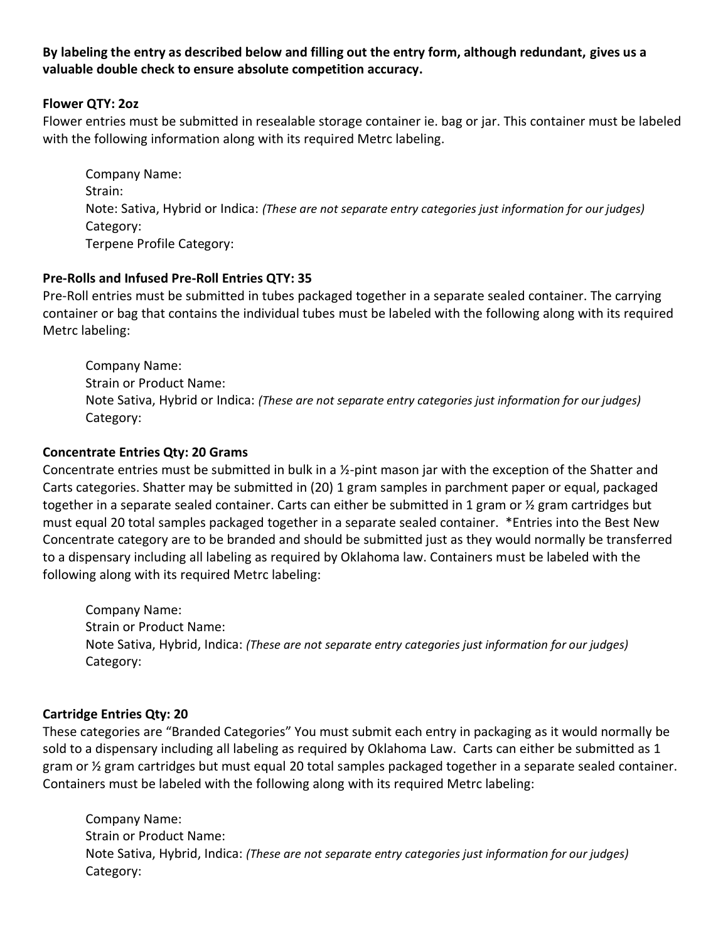#### **By labeling the entry as described below and filling out the entry form, although redundant, gives us a valuable double check to ensure absolute competition accuracy.**

#### **Flower QTY: 2oz**

Flower entries must be submitted in resealable storage container ie. bag or jar. This container must be labeled with the following information along with its required Metrc labeling.

Company Name: Strain: Note: Sativa, Hybrid or Indica: *(These are not separate entry categories just information for our judges)* Category: Terpene Profile Category:

#### **Pre-Rolls and Infused Pre-Roll Entries QTY: 35**

Pre-Roll entries must be submitted in tubes packaged together in a separate sealed container. The carrying container or bag that contains the individual tubes must be labeled with the following along with its required Metrc labeling:

Company Name: Strain or Product Name: Note Sativa, Hybrid or Indica: *(These are not separate entry categories just information for our judges)* Category:

#### **Concentrate Entries Qty: 20 Grams**

Concentrate entries must be submitted in bulk in a ½-pint mason jar with the exception of the Shatter and Carts categories. Shatter may be submitted in (20) 1 gram samples in parchment paper or equal, packaged together in a separate sealed container. Carts can either be submitted in 1 gram or  $\frac{1}{2}$  gram cartridges but must equal 20 total samples packaged together in a separate sealed container. \*Entries into the Best New Concentrate category are to be branded and should be submitted just as they would normally be transferred to a dispensary including all labeling as required by Oklahoma law. Containers must be labeled with the following along with its required Metrc labeling:

Company Name: Strain or Product Name: Note Sativa, Hybrid, Indica: *(These are not separate entry categories just information for our judges)* Category:

#### **Cartridge Entries Qty: 20**

These categories are "Branded Categories" You must submit each entry in packaging as it would normally be sold to a dispensary including all labeling as required by Oklahoma Law. Carts can either be submitted as 1 gram or ½ gram cartridges but must equal 20 total samples packaged together in a separate sealed container. Containers must be labeled with the following along with its required Metrc labeling:

Company Name: Strain or Product Name: Note Sativa, Hybrid, Indica: *(These are not separate entry categories just information for our judges)* Category: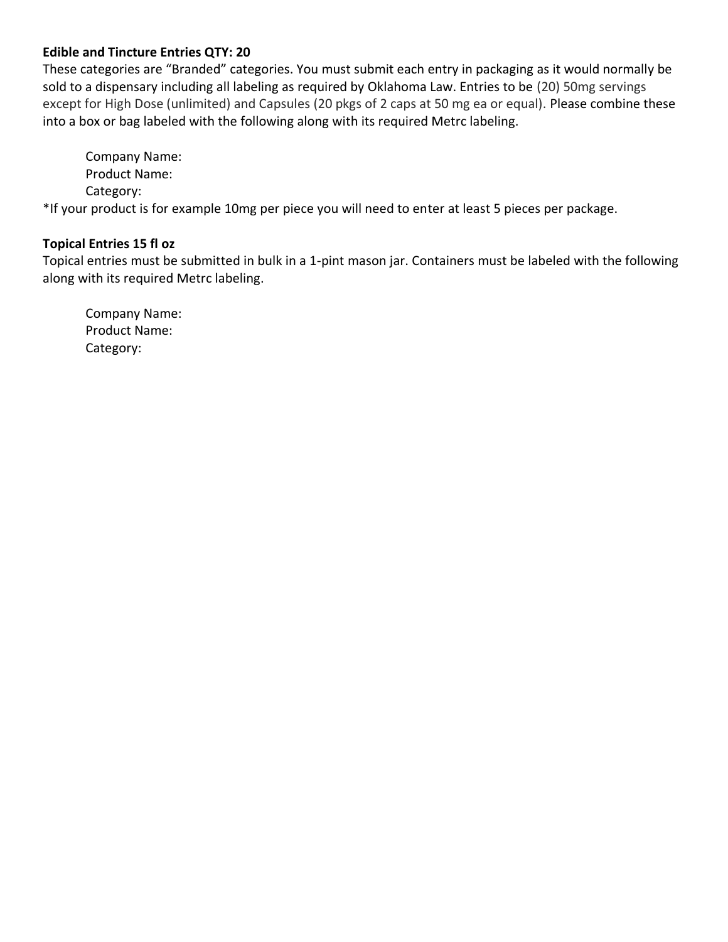#### **Edible and Tincture Entries QTY: 20**

These categories are "Branded" categories. You must submit each entry in packaging as it would normally be sold to a dispensary including all labeling as required by Oklahoma Law. Entries to be (20) 50mg servings except for High Dose (unlimited) and Capsules (20 pkgs of 2 caps at 50 mg ea or equal). Please combine these into a box or bag labeled with the following along with its required Metrc labeling.

Company Name: Product Name: Category:

\*If your product is for example 10mg per piece you will need to enter at least 5 pieces per package.

#### **Topical Entries 15 fl oz**

Topical entries must be submitted in bulk in a 1-pint mason jar. Containers must be labeled with the following along with its required Metrc labeling.

Company Name: Product Name: Category: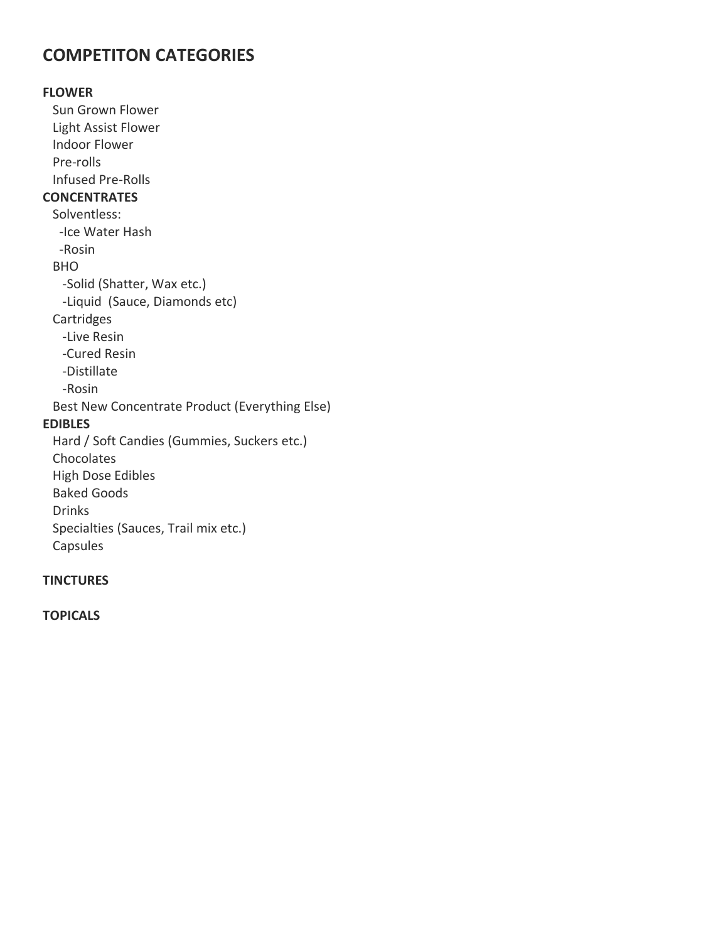### **COMPETITON CATEGORIES**

**FLOWER** Sun Grown Flower Light Assist Flower Indoor Flower Pre-rolls Infused Pre-Rolls **CONCENTRATES** Solventless: -Ice Water Hash -Rosin BHO -Solid (Shatter, Wax etc.) -Liquid (Sauce, Diamonds etc) **Cartridges**  -Live Resin -Cured Resin -Distillate -Rosin Best New Concentrate Product (Everything Else) **EDIBLES**  Hard / Soft Candies (Gummies, Suckers etc.) Chocolates High Dose Edibles Baked Goods

Drinks

 Specialties (Sauces, Trail mix etc.) Capsules

#### **TINCTURES**

**TOPICALS**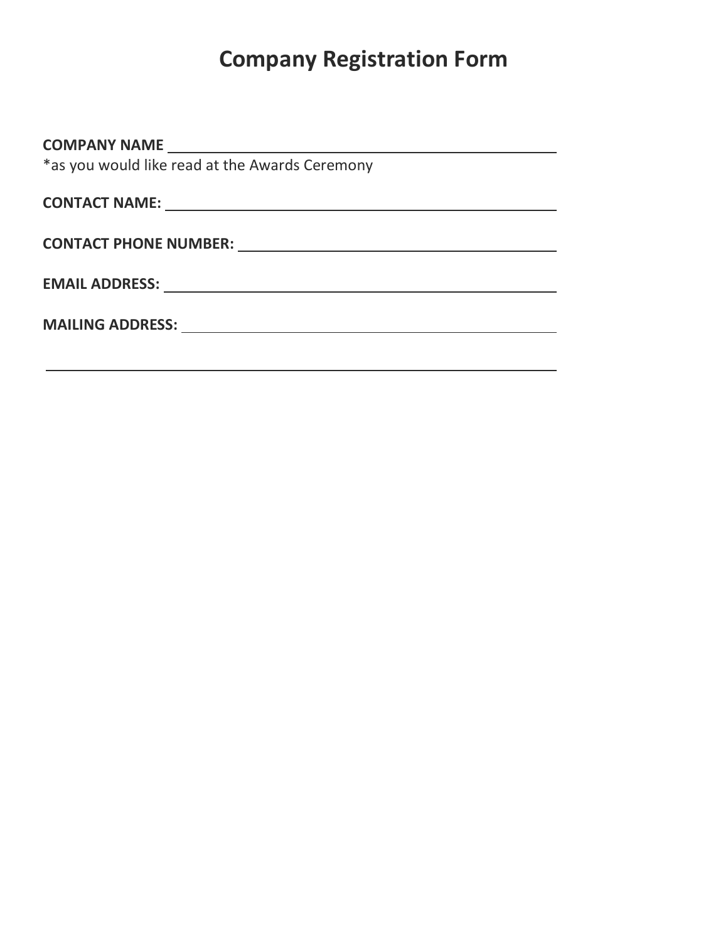# **Company Registration Form**

| *as you would like read at the Awards Ceremony |
|------------------------------------------------|
|                                                |
|                                                |
| <b>CONTACT PHONE NUMBER:</b>                   |
|                                                |
| <b>EMAIL ADDRESS:</b>                          |
|                                                |
|                                                |
|                                                |
|                                                |